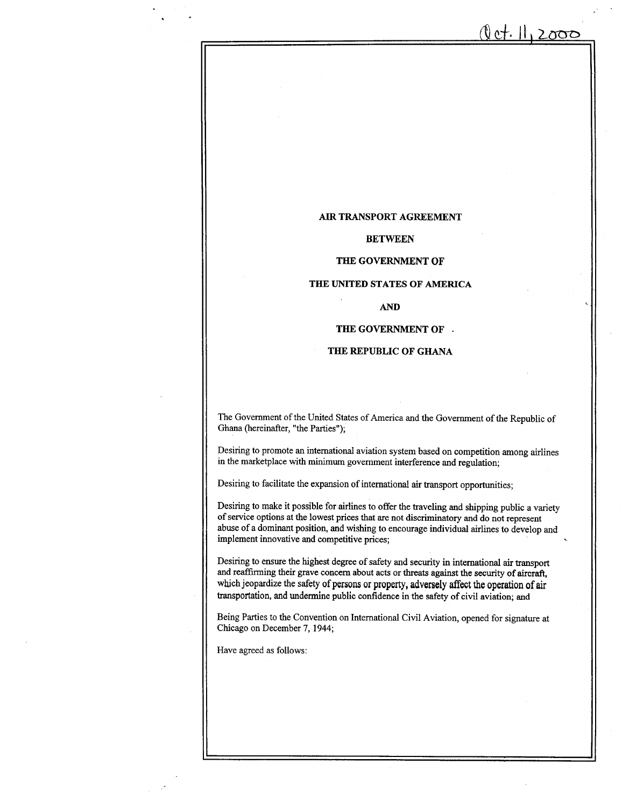# $2000$

 $\ddot{\phantom{0}}$ 

### AIR TRANSPORT AGREEMENT

### BETWEEN

### THE GOVERNMENT OF

# THE UNITED STATES OF AMERICA

#### AND

### THE GOVERNMENT OF .

### THE REPUBLIC OF GHANA

The Government of the United States of America and the Government of the Republic of Ghana (hereinafter, "the Parties") ;

Desiring to promote an international aviation system based on competition among airlines in the marketplace with minimum government interference and regulation;

Desiring to facilitate the expansion of international air transport opportunities:

Desiring to make it possible for airlines to offer the traveling and shipping public a variety of service options at the lowest prices that are not discriminatory and do not represent abuse of a dominant position, and wishing to encourage individual airlines to develop and implement innovative and competitive prices;

Desiring to ensure the highest degree of safety and security in international air transport and reaffirming their grave concern about acts or threats against the security of aircraft, which jeopardize the safety of persons or property, adversely affect the operation of air transportation, and undermine public confidence in the safety of civil aviation; and

Being Parties to the Convention on International Civil Aviation, opened for signature at Chicago on December 7, 1944;

Have agreed as follows: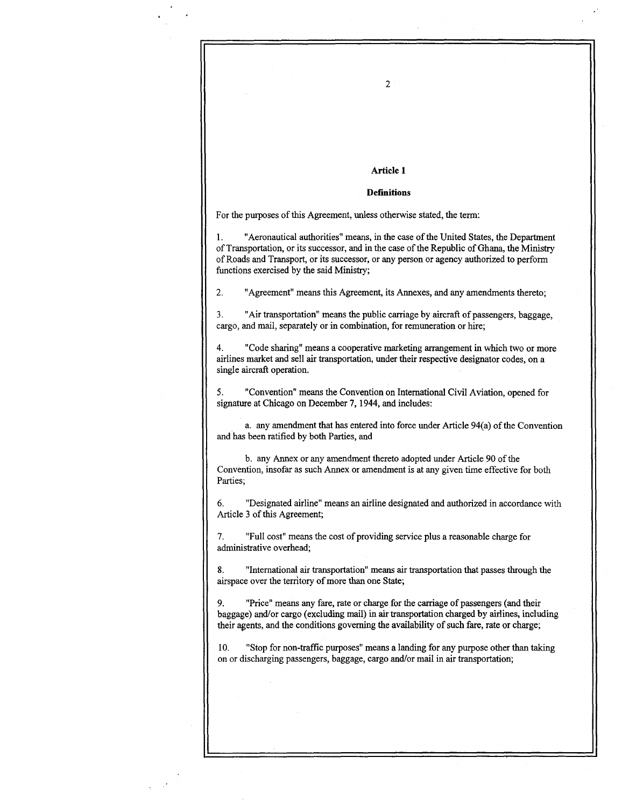# Article 1

2

# **Definitions**

For the purposes of this Agreement, unless otherwise stated, the term :

<sup>1</sup> . "Aeronautical authorities" means, in the case of the United States, the Department of Transportation, or its successor, and in the case of the Republic of Ghana, the Ministry of Roads and Transport, or its successor, or any person or agency authorized to perform functions exercised by the said Ministry;

2 . "Agreement" means this Agreement, its Annexes, and any amendments thereto;

3 . "Air transportation" means the public carriage by aircraft of passengers, baggage, cargo, and mail, separately or in combination, for remuneration or hire;

 $4.$ "Code sharing" means a cooperative marketing arrangement in which two or more airlines market and sell air transportation, under their respective designator codes, on a single aircraft operation.

5. "Convention" means the Convention on International Civil Aviation, opened for signature at Chicago on December 7, 1944, and includes:

a. any amendment that has entered into force under Article 94(a) of the Convention and has been ratified by both Parties, and

b . any Annex or any amendment thereto adopted under Article 90 of the Convention, insofar as such Annex or amendment is at any given time effective for both Parties;

6. "Designated airline" means an airline designated and authorized in accordance with Article 3 of this Agreement;

7. "Full cost" means the cost of providing service plus a reasonable charge for administrative overhead;

8. "International air transportation" means air transportation that passes through the airspace over the territory of more than one State;

9. "Price" means any fare, rate or charge for the carriage of passengers (and their baggage) and/or cargo (excluding mail) in air transportation charged by airlines, including their agents, and the conditions governing the availability of such fare, rate or charge;

 $10.$ "Stop for non-traffic purposes" means a landing for any purpose other than taking on or discharging passengers, baggage, cargo and/or mail in air transportation;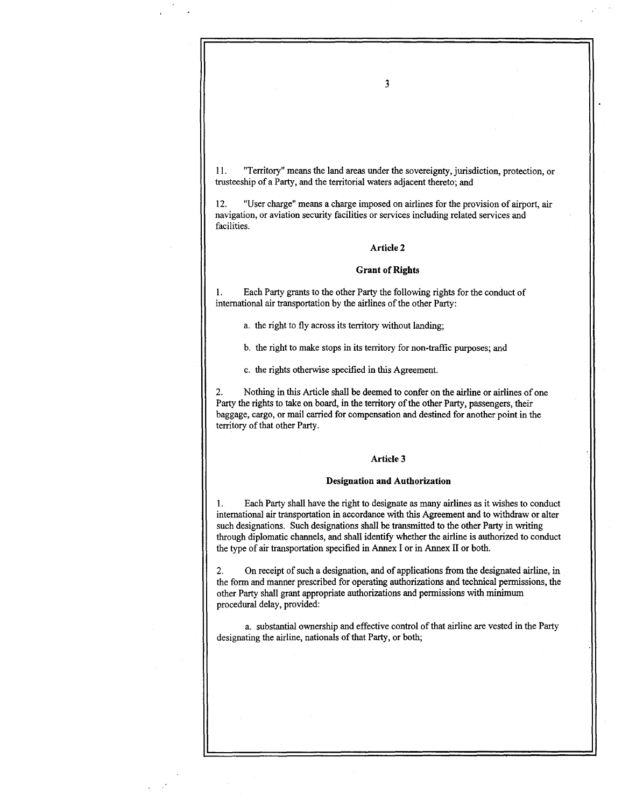11 . "Territory" means the land areas under the sovereignty, jurisdiction, protection, or trusteeship of a Party, and the territorial waters adjacent thereto; and

 $12.$ "User charge" means a charge imposed on airlines for the provision of airport, air navigation, or aviation security facilities or services including related services and facilities .

### Article 2

# Grant of Rights

**1.** Each Party grants to the other Party the following rights for the conduct of international air transportation by the airlines of the other Party :

a. the right to fly across its territory without landing;

b. the right to make stops in its territory for non-traffic purposes; and

c. the rights otherwise specified in this Agreement.

2. Nothing in this Article shall be deemed to confer on the airline or airlines of one Party the rights to take on board, in the territory of the other Party, passengers, their baggage, cargo, or mail carried for compensation and destined for another point in the territory of that other Party.

### Article 3

# Designation and Authorization

1 . Each Party shall have the right to designate as many airlines as it wishes to conduct international air transportation in accordance with this Agreement and to withdraw or alter such designations . Such designations shall be transmitted to the other Party in writing through diplomatic channels, and shall identify whether the airline is authorized to conduct the type of air transportation specified in Annex I or in Annex II or both.

2 . On receipt of such a designation, and of applications from the designated airline, in the form and manner prescribed for operating authorizations and technical permissions, the other Party shall grant appropriate authorizations and permissions with minimum procedural delay, provided :

a. substantial ownership and effective control of that airline are vested in the Party designating the airline, nationals of that Party, or both;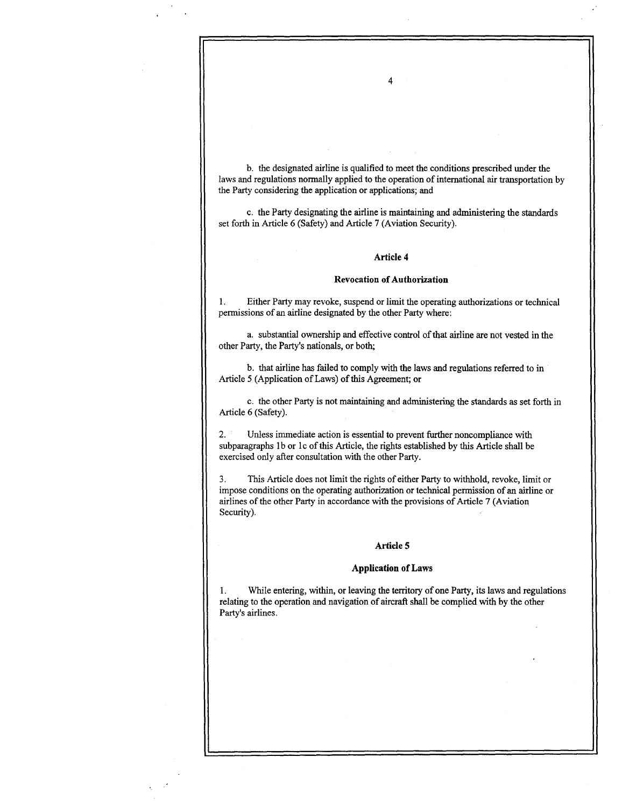b . the designated airline is qualified to meet the conditions prescribed under the laws and regulations normally applied to the operation of international air transportation by the Party considering the application or applications; and

4

c. the Party designating the airline is maintaining and administering the standards set forth in Article 6 (Safety) and Article 7 (Aviation Security) .

### Article 4

# Revocation of Authorization

1 . Either Party may revoke, suspend or limit the operating authorizations or technical permissions of an airline designated by the other Party where :

a. substantial ownership and effective control of that airline are not vested in the other Party, the Party's nationals, or both;

b . that airline has failed to comply with the laws and regulations referred to in Article 5 (Application of Laws) of this Agreement; or

c . the other Party is not maintaining and administering the standards as set forth in Article 6 (Safety).

2 . Unless immediate action is essential to prevent further noncompliance with subparagraphs 1b or 1c of this Article, the rights established by this Article shall be exercised only after consultation with the other Party.

3 . This Article does not limit the rights of either Party to withhold, revoke, limit or impose conditions on the operating authorization or technical permission of an airline or airlines of the other Party in accordance with the provisions of Article 7 (Aviation Security).

### Article 5

# Application of Laws

**1.** While entering, within, or leaving the territory of one Party, its laws and regulations relating to the operation and navigation of aircraft shall be complied with by the other Party's airlines .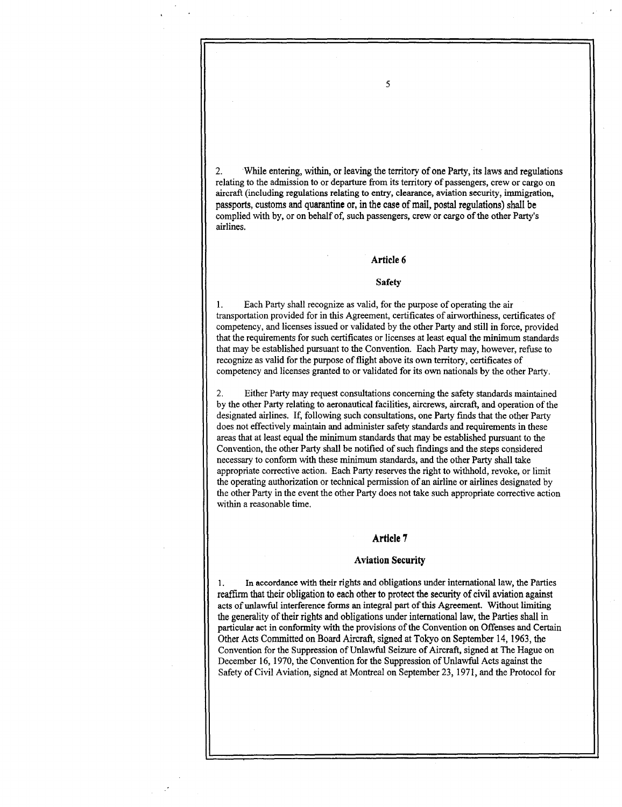$2.$ While entering, within, or leaving the territory of one Party, its laws and regulations relating to the admission to or departure from its territory of passengers, crew or cargo on aircraft (including regulations relating to entry, clearance, aviation security, immigration, passports, customs and quarantine or, in the case of mail, postal regulations) shall be complied with by, or on behalf of, such passengers, crew or cargo of the other Party's airlines .

# Article 6

#### Safety

1 . Each Party shall recognize as valid, for the purpose of operating the air transportation provided for in this Agreement, certificates of airworthiness, certificates of competency, and licenses issued or validated by the other Party and still in force, provided that the requirements for such certificates or licenses at least equal the minimum standards that may be established pursuant to the Convention. Each Party may, however, refuse to recognize as valid for the purpose of flight above its own territory, certificates of competency and licenses granted to or validated for its own nationals by the other Party .

2. Either Party may request consultations concerning the safety standards maintained by the other Party relating to aeronautical facilities, aircrews, aircraft, and operation of the designated airlines. If, following such consultations, one Party finds that the other Party does not effectively maintain and administer safety standards and requirements in these areas that at least equal the minimum standards that may be established pursuant to the Convention, the other Party shall be notified of such findings and the steps considered necessary to conform with these minimum standards, and the other Party shall take appropriate corrective action. Each Party reserves the right to withhold, revoke, or limit the operating authorization or technical permission of an airline or airlines designated by the other Party in the event the other Party does not take such appropriate corrective action within a reasonable time.

### Article 7

# Aviation Security

1 . In accordance with their rights and obligations under international law, the Parties reaffirm that their obligation to each other to protect the security of civil aviation against acts of unlawful interference forms an integral part of this Agreement. Without limiting the generality of their rights and obligations under international law, the Parties shall in particular act in conformity with the provisions of the Convention on Offenses and Certain Other Acts Committed on Board Aircraft, signed at Tokyo on September 14, 1963, the Convention for the Suppression of Unlawful Seizure of Aircraft, signed at The Hague on December 16, 1970, the Convention for the Suppression of Unlawful Acts against the Safety of Civil Aviation, signed at Montreal on September 23, 1971, and the Protocol for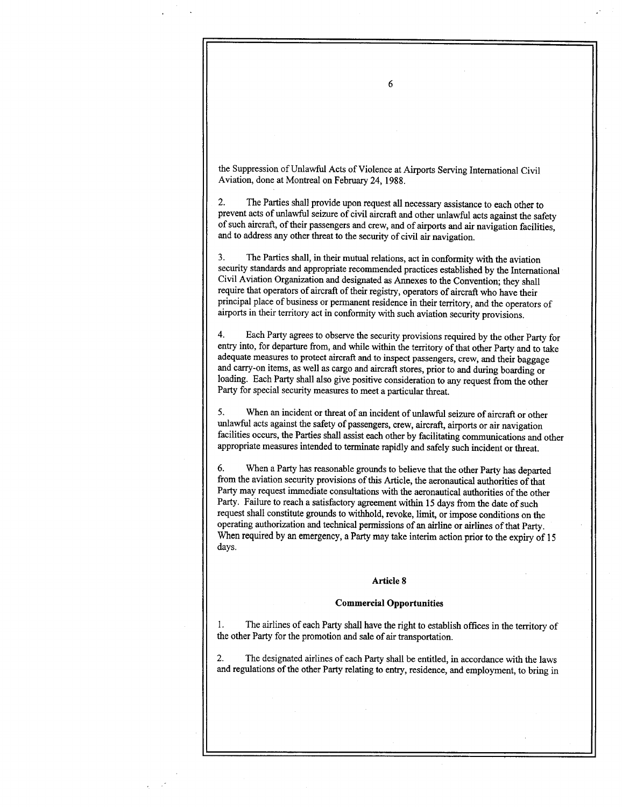the Suppression of Unlawful Acts of Violence at Airports Serving International Civil Aviation, done at Montreal on February 24, 1988 .

2 . The Parties shall provide upon request all necessary assistance to each other to prevent acts of unlawful seizure of civil aircraft and other unlawful acts against the safety of such aircraft, of their passengers and crew, and of airports and air navigation facilities, and to address any other threat to the security of civil air navigation.

3 . The Parties shall, in their mutual relations, act in conformity with the aviation security standards and appropriate recommended practices established by the International Civil Aviation Organization and designated as Annexes to the Convention; they shall require that operators of aircraft of their registry, operators of aircraft who have their principal place of business or permanent residence in their territory, and the operators of airports in their territory act in conformity with such aviation security provisions .

4. Each Party agrees to observe the security provisions required by the other Party for entry into, for departure from, and while within the territory of that other Party and to take adequate measures to protect aircraft and to inspect passengers, crew, and their baggage and carry-on items, as well as cargo and aircraft stores, prior to and during boarding or loading. Each Party shall also give positive consideration to any request from the other Party for special security measures to meet a particular threat.

5. When an incident or threat of an incident of unlawful seizure of aircraft or other unlawful acts against the safety of passengers, crew, aircraft, airports or air navigation facilities occurs, the Parties shall assist each other by facilitating communications and other appropriate measures intended to terminate rapidly and safely such incident or threat.

6. When a Party has reasonable grounds to believe that the other Party has departed from the aviation security provisions of this Article, the aeronautical authorities of that Party may request immediate consultations with the aeronautical authorities of the other Party. Failure to reach a satisfactory agreement within 15 days from the date of such request shall constitute grounds to withhold, revoke, limit, or impose conditions on the operating authorization and technical permissions of an airline or airlines of that Party. When required by an emergency, a Party may take interim action prior to the expiry of 15 days.

### Article 8

#### Commercial Opportunities

1 . The airlines of each Party shall have the right to establish offices in the territory of the other Party for the promotion and sale of air transportation.

 $\mathcal{L}$ The designated airlines of each Party shall be entitled, in accordance with the laws and regulations of the other Party relating to entry, residence, and employment, to bring in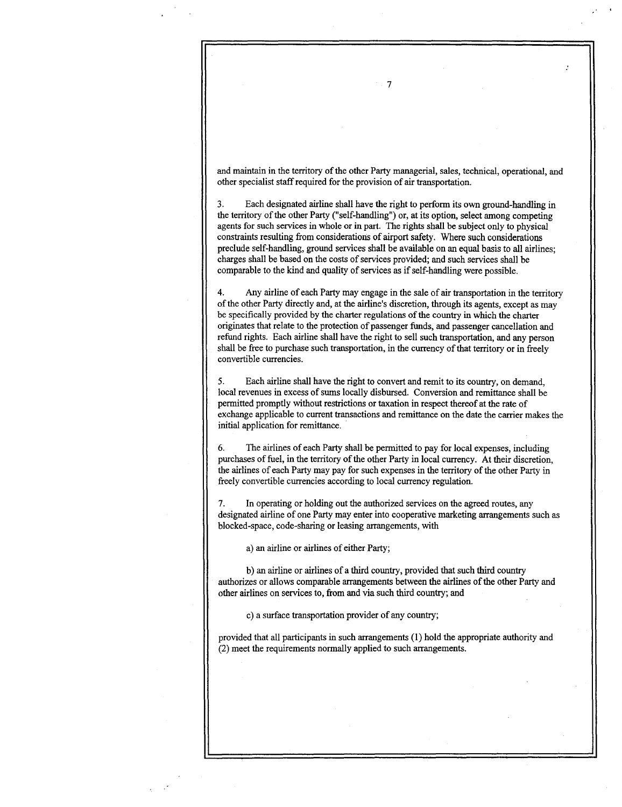and maintain in the territory of the other Party managerial, sales, technical, operational, and other specialist staff required for the provision of air transportation .

7

 $3.$ Each designated airline shall have the right to perform its own ground-handling in the territory of the other Party ("self-handling") or, at its option, select among competing agents for such services in whole or in part. The rights shall be subject only to physical constraints resulting from considerations of airport safety . Where such considerations preclude self-handling, ground services shall be available on an equal basis to all airlines; charges shall be based on the costs of services provided ; and such services shall be comparable to the kind and quality of services as if self-handling were possible .

 $\mathbf{A}$ Any airline of each Party may engage in the sale of air transportation in the territory of the other Party directly and, at the airline's discretion, through its agents, except as may be specifically provided by the charter regulations of the country in which the charter originates that relate to the protection of passenger funds, and passenger cancellation and refund rights. Each airline shall have the right to sell such transportation, and any person shall be free to purchase such transportation, in the currency of that territory or in freely convertible currencies .

5 . Each airline shall have the right to convert and remit to its country, on demand, local revenues in excess of sums locally disbursed. Conversion and remittance shall be permitted promptly without restrictions or taxation in respect thereof at the rate of exchange applicable to current transactions and remittance on the date the carrier makes the initial application for remittance .

6. The airlines of each Party shall be permitted to pay for local expenses, including purchases of fuel, in the territory of the other Party in local currency . At their discretion, the airlines of each Party may pay for such expenses in the territory of the other Party in freely convertible currencies according to local currency regulation .

7. In operating or holding out the authorized services on the agreed routes, any designated airline of one Party may enter into cooperative marketing arrangements such as blocked-space, code-sharing or leasing arrangements, with

a) an airline or airlines of either Party;

b) an airline or airlines of a third country, provided that such third country authorizes or allows comparable arrangements between the airlines of the other Party and other airlines on services to, from and via such third country; and

c) a surface transportation provider of any country ;

provided that all participants in such arrangements (1) hold the appropriate authority and (2) meet the requirements normally applied to such arrangements .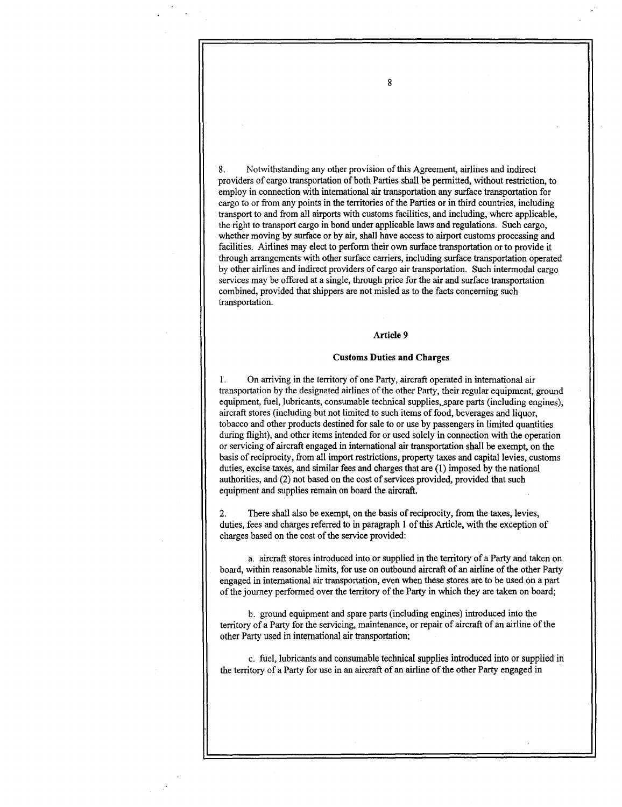8. Notwithstanding any other provision of this Agreement, airlines and indirect providers of cargo transportation of both Parties shall be permitted, without restriction, to employ in connection with international air transportation any surface transportation for cargo to or from any points in the territories of the Parties or in third countries, including transport to and from all airports with customs facilities, and including, where applicable, the right to transport cargo in bond under applicable laws and regulations . Such cargo, whether moving by surface or by air, shall have access to airport customs processing and facilities. Airlines may elect to perform their own surface transportation or to provide it through arrangements with other surface carriers, including surface transportation operated by other airlines and indirect providers of cargo air transportation . Such intermodal cargo services may be offered at a single, through price for the air and surface transportation combined, provided that shippers are not misled as to the facts concerning such transportation.

#### Article 9

### Customs Duties and Charges

1 . On arriving in the territory of one Party, aircraft operated in international air transportation by the designated airlines of the other Party, their regular equipment, ground equipment, fuel, lubricants, consumable technical supplies, spare parts (including engines), aircraft stores (including but not limited to such items of food, beverages and liquor, tobacco and other products destined for sale to or use by passengers in limited quantities during flight), and other items intended for or used solely in connection with the operation or servicing of aircraft engaged in international air transportation shall be exempt, on the basis of reciprocity, from all import restrictions, property taxes and capital levies, customs duties, excise taxes, and similar fees and charges that are (1) imposed by the national authorities, and (2) not based on the cost of services provided, provided that such equipment and supplies remain on board the aircraft.

 $2.$ There shall also be exempt, on the basis of reciprocity, from the taxes, levies, duties, fees and charges referred to in paragraph 1 of this Article, with the exception of charges based on the cost of the service provided :

a. aircraft stores introduced into or supplied in the territory of a Party and taken on board, within reasonable limits, for use on outbound aircraft of an airline of the other Party engaged in international air transportation, even when these stores are to be used on a part of the journey performed over the territory of the Party in which they are taken on board ;

b. ground equipment and spare parts (including engines) introduced into the territory of a Party for the servicing, maintenance, or repair of aircraft of an airline of the other Party used in international air transportation ;

c . fuel, lubricants and consumable technical supplies introduced into or supplied in the territory of a Party for use in an aircraft of an airline of the other Party engaged in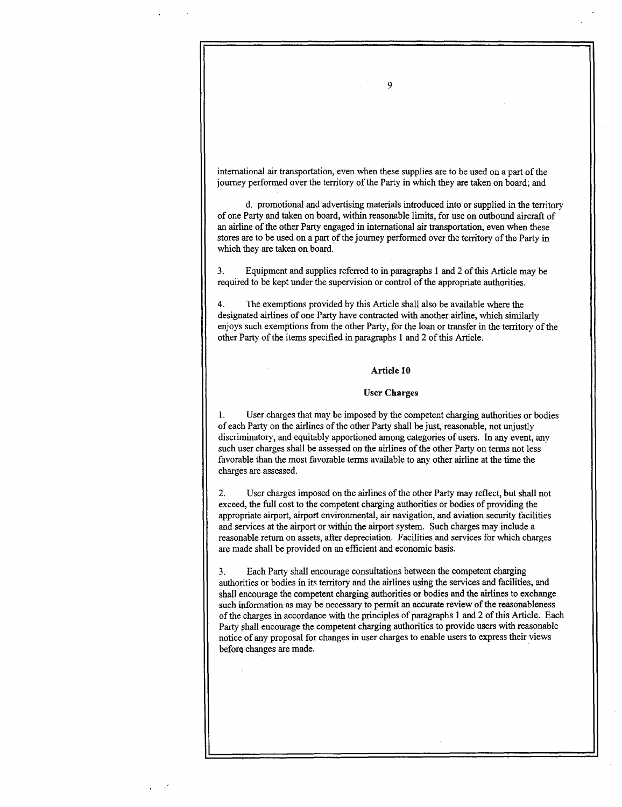international air transportation, even when these supplies are to be used on a part of the journey performed over the territory of the Party in which they are taken on board; and

9

d. promotional and advertising materials introduced into or supplied in the territory of one Party and taken on board, within reasonable limits, for use on outbound aircraft of an airline of the other Party engaged in international air transportation, even when these stores are to be used on a part of the journey performed over the territory of the Party in which they are taken on board.

3 . Equipment and supplies referred to in paragraphs 1 and 2 of this Article may be required to be kept under the supervision or control of the appropriate authorities .

4. The exemptions provided by this Article shall also be available where the designated airlines of one Party have contracted with another airline, which similarly enjoys such exemptions from the other Party, for the loan or transfer in the territory of the other Party of the items specified in paragraphs 1 and 2 of this Article .

# Article 10

### User Charges

**1**. User charges that may be imposed by the competent charging authorities or bodies of each Party on the airlines of the other Party shall be just, reasonable, not unjustly discriminatory, and equitably apportioned among categories of users. In any event, any such user charges shall be assessed on the airlines of the other Party on terms not less favorable than the most favorable terms available to any other airline at the time the charges are assessed .

 $2.$ User charges imposed on the airlines of the other Party may reflect, but shall not exceed, the full cost to the competent charging authorities or bodies of providing the appropriate airport, airport environmental, air navigation, and aviation security facilities and services at the airport or within the airport system. Such charges may include a reasonable return on assets, after depreciation . Facilities and services for which charges are made shall be provided on an efficient and economic basis .

3 . Each Party shall encourage consultations between the competent charging authorities or bodies in its territory and the airlines using the services and facilities, and shall encourage the competent charging authorities or bodies and the airlines to exchange such information as may be necessary to permit an accurate review of the reasonableness of the charges in accordance with the principles of paragraphs 1 and 2 of this Article. Each Party shall encourage the competent charging authorities to provide users with reasonable notice of any proposal for changes in user charges to enable users to express their views befors changes are made .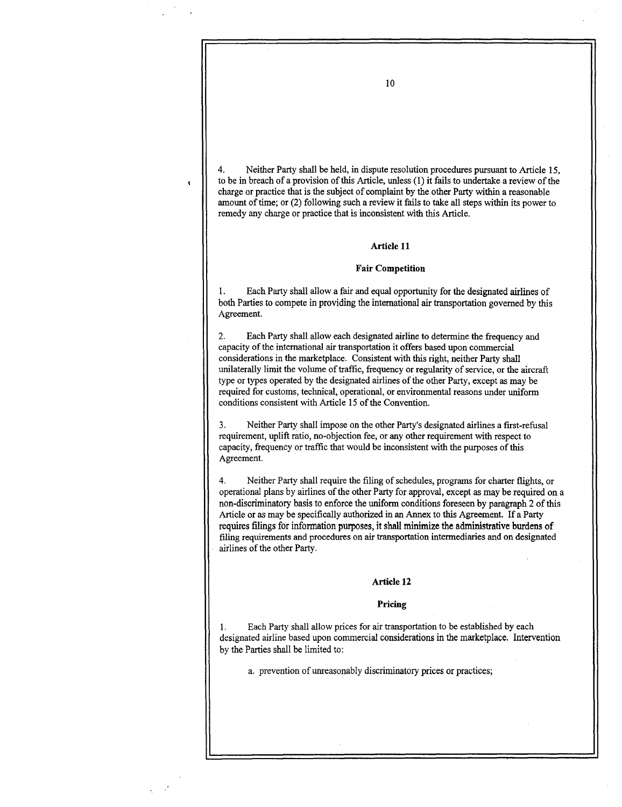Neither Party shall be held, in dispute resolution procedures pursuant to Article 15, to be in breach of a provision of this Article, unless (1) it fails to undertake a review of the charge or practice that is the subject of complaint by the other Party within a reasonable amount of time; or (2) following such a review it fails to take all steps within its power to remedy any charge or practice that is inconsistent with this Article .

 $\ddot{\phantom{0}}$ 

### Article 11

### Fair Competition

1. Each Party shall allow a fair and equal opportunity for the designated airlines of both Parties to compete in providing the international air transportation governed by this Agreement.

 $2.$ Each Party shall allow each designated airline to determine the frequency and capacity of the international air transportation it offers based upon commercial considerations in the marketplace . Consistent with this right, neither Party shall unilaterally limit the volume of traffic, frequency or regularity of service, or the aircraft type or types operated by the designated airlines of the other Party, except as may be required for customs, technical, operational, or environmental reasons under uniform conditions consistent with Article 15 of the Convention.

3 . Neither Party shall impose on the other Party's designated airlines a first-refusal requirement, uplift ratio, no-objection fee, or any other requirement with respect to capacity, frequency or traffic that would be inconsistent with the purposes of this Agreement.

 $4.$ Neither Party shall require the filing of schedules, programs for charter flights, or operational plans by airlines of the other Party for approval, except as may be required on a non-discriminatory basis to enforce the uniform conditions foreseen by paragraph 2 of this Article or as may be specifically authorized in an Annex to this Agreement . If a Party requires filings for information purposes, it shall minimize the administrative burdens of filing requirements and procedures on air transportation intermediaries and on designated airlines of the other Party .

# Article 12

## Pricing

1 . Each Party shall allow prices for air transportation to be established by each designated airline based upon commercial considerations in the marketplace . Intervention by the Parties shall be limited to :

a. prevention of unreasonably discriminatory prices or practices;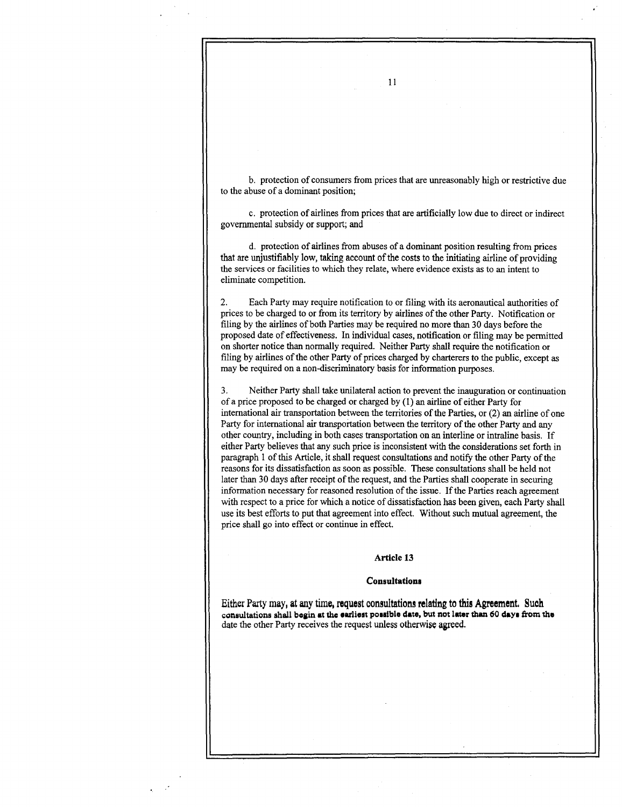b. protection of consumers from prices that are unreasonably high or restrictive due to the abuse of a dominant position;

c. protection of airlines from prices that are artificially low due to direct or indirect governmental subsidy or support; and

d. protection of airlines from abuses of a dominant position resulting from prices that are unjustifiably low, taking account of the costs to the initiating airline of providing the services or facilities to which they relate, where evidence exists as to an intent to eliminate competition .

2. Each Party may require notification to or filing with its aeronautical authorities of prices to be charged to or from its territory by airlines of the other Party . Notification or filing by the airlines of both Parties may be required no more than 30 days before the proposed date of effectiveness . In individual cases, notification or filing may be permitted on shorter notice than normally required. Neither Party shall require the notification or filing by airlines of the other Party of prices charged by charterers to the public, except as may be required on a non-discriminatory basis for information purposes .

3 . Neither Party shall take unilateral action to prevent the inauguration or continuation of a price proposed to be charged or charged by (1) an airline of either Party for international air transportation between the territories of the Parties, or (2) an airline of one Party for international air transportation between the territory of the other Party and any other country, including in both cases transportation on an interline or intraline basis . If either Party believes that any such price is inconsistent with the considerations set forth in paragraph I of this Article, it shall request consultations and notify the other Party of the reasons for its dissatisfaction as soon as possible. These consultations shall be held not later than 30 days after receipt of the request, and the Parties shall cooperate in securing information necessary for reasoned resolution of the issue . If the Parties reach agreement with respect to a price for which a notice of dissatisfaction has been given, each Party shall use its best efforts to put that agreement into effect. Without such mutual agreement, the price shall go into effect or continue in effect.

# Article 13

### Consultations

Either Party may, at any time, request consultations relating to this Agreement, Such consultations shall begin at the earliest possible date, but not later than 60 days from the date the other Party receives the request unless otherwise agreed.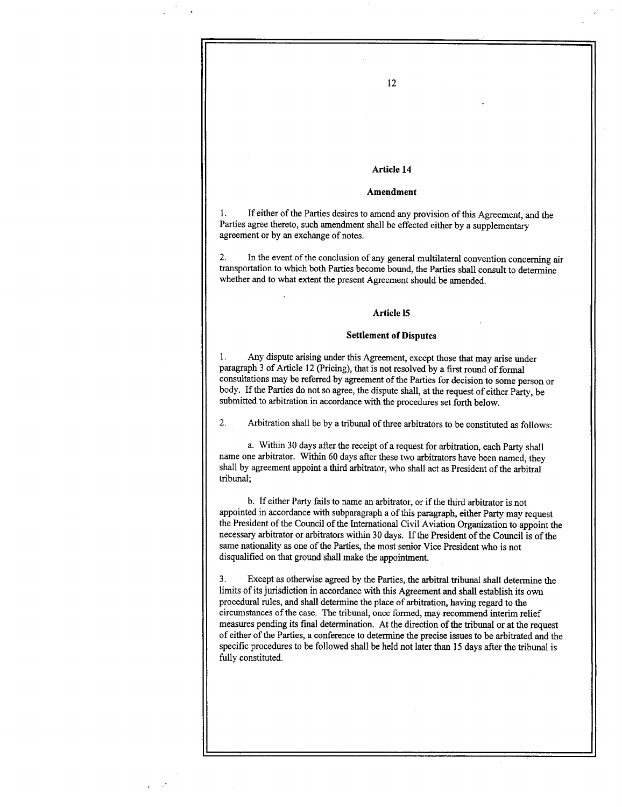# Article 14

# Amendment

I . If either of the Parties desires to amend any provision of this Agreement, and the Parties agree thereto, such amendment shall be effected either by a supplementary agreement or by an exchange of notes.

2. In the event of the conclusion of any general multilateral convention concerning air transportation to which both Parties become bound, the Parties shall consult to determine whether and to what extent the present Agreement should be amended.

### Article 15

### Settlement of Disputes

1 . Any dispute arising under this Agreement, except those that may arise under paragraph 3 of Article 12 (Pricing), that is not resolved by a first round of formal consultations may be referred by agreement of the Parties for decision to some person or body. If the Parties do not so agree, the dispute shall, at the request of either Party, be submitted to arbitration in accordance with the procedures set forth below .

2. Arbitration shall be by a tribunal of three arbitrators to be constituted as follows :

a. Within 30 days after the receipt of a request for arbitration, each Party shall name one arbitrator. Within 60 days after these two arbitrators have been named, they shall by agreement appoint a third arbitrator, who shall act as President of the arbitral tribunal;

b . If either Party fails to name an arbitrator, or if the third arbitrator is not appointed in accordance with subparagraph a of this paragraph, either Party may request the President of the Council of the International Civil Aviation Organization to appoint the necessary arbitrator or arbitrators within 30 days . If the President of the Council is of the same nationality as one of the Parties, the most senior Vice President who is not disqualified on that ground shall make the appointment.

3 . Except as otherwise agreed by the Parties, the arbitral tribunal shall determine the limits of its jurisdiction in accordance with this Agreement and shall establish its own procedural rules, and shall determine the place of arbitration, having regard to the circumstances of the case. The tribunal, once formed, may recommend interim relief measures pending its final determination. At the direction of the tribunal or at the request of either of the Parties, a conference to determine the precise issues to be arbitrated and the specific procedures to be followed shall be held not later than 15 days after the tribunal is fully constituted.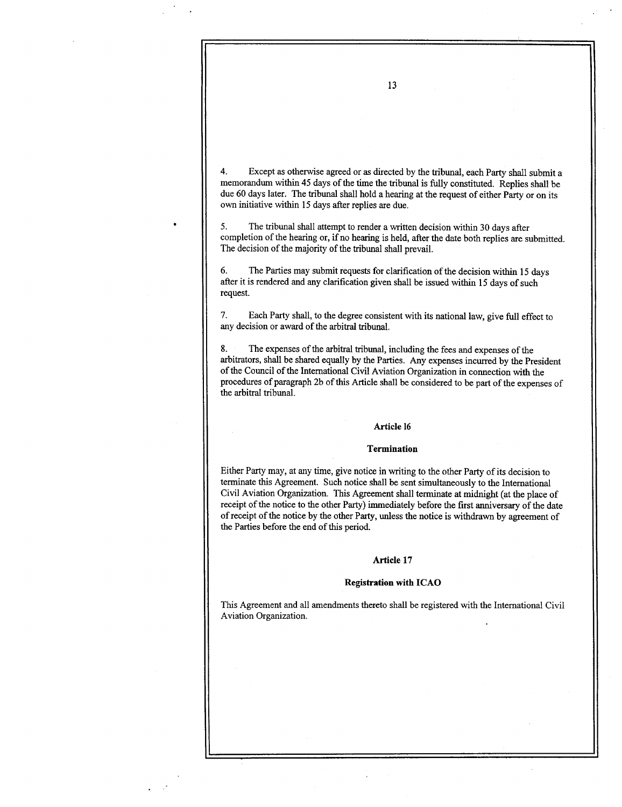4 . Except as otherwise agreed or as directed by the tribunal, each Party shall submit a memorandum within 45 days of the time the tribunal is fully constituted . Replies shall be due 60 days later. The tribunal shall hold a hearing at the request of either Party or on its own initiative within 15 days after replies are due .

5. The tribunal shall attempt to render a written decision within 30 days after completion of the hearing or, if no hearing is held, after the date both replies are submitted. The decision of the majority of the tribunal shall prevail.

6. The Parties may submit requests for clarification of the decision within 15 days after it is rendered and any clarification given shall be issued within 15 days of such request.

7. Each Party shall, to the degree consistent with its national law, give full effect to any decision or award of the arbitral tribunal.

8. The expenses of the arbitral tribunal, including the fees and expenses of the arbitrators, shall be shared equally by the Parties . Any expenses incurred by the President of the Council of the International Civil Aviation Organization in connection with the procedures of paragraph 2b of this Article shall be considered to be part of the expenses of the arbitral tribunal.

### Article 16

### **Termination**

Either Party may, at any time, give notice in writing to the other Party of its decision to terminate this Agreement. Such notice shall be sent simultaneously to the International Civil Aviation Organization. This Agreement shall terminate at midnight (at the place of receipt of the notice to the other Party) immediately before the first anniversary of the date of receipt of the notice by the other Party, unless the notice is withdrawn by agreement of the Parties before the end of this period.

### Article 17

# Registration with ICAO

This Agreement and all amendments thereto shall be registered with the International Civil Aviation Organization.

13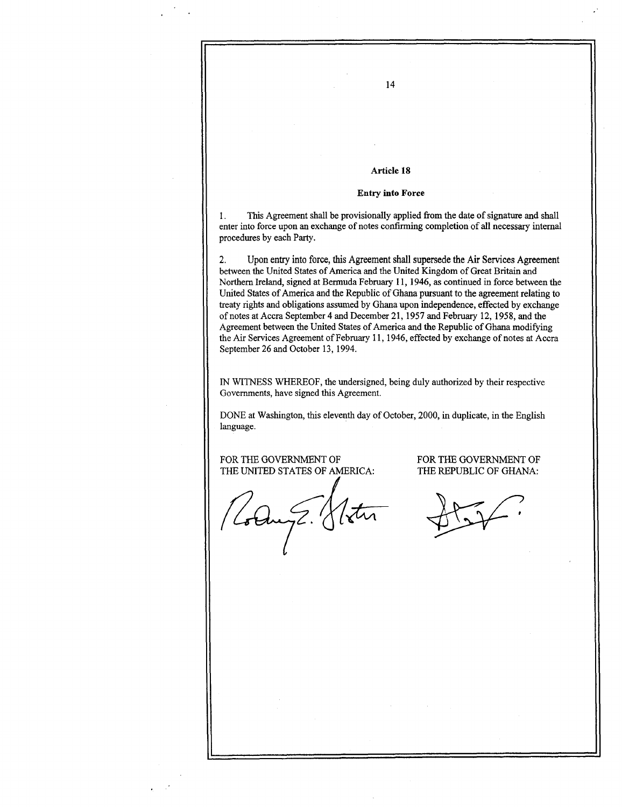# Article 18

### Entry into Force

1 This Agreement shall be provisionally applied from the date of signature and shall enter into force upon an exchange of notes confirming completion of all necessary internal procedures by each Party. 14<br>
14<br>
Article 1<br>
Article 1<br>
Entry into 1<br>
1. This Agreement shall be provisionally approximate of notes confirm<br>
and the provisionally approximate of notes confirmed<br>
procedures by each Party.

> $2.$ Upon entry into force, this Agreement shall supersede the Air Services Agreement between the United States of America and the United Kingdom of Great Britain and Northern Ireland, signed at Bermuda February 11, 1946, as continued in force between the United States of America and the Republic of Ghana pursuant to the agreement relating to treaty rights and obligations assumed by Ghana upon independence, effected by exchange of notes at Accra September 4 and December 21, 1957 and February 12, 1958, and the Agreement between the United States of America and the Republic of Ghana modifying the Air Services Agreement of February 11, 1946, effected by exchange of notes at Accra September 26 and October 13, 1994.

IN WITNESS WHEREOF, the undersigned, being duly authorized by their respective Governments, have signed this Agreement.

DONE at Washington, this eleventh day of October, 2000, in duplicate, in the English language.

FOR THE GOVERNMENT OF THE UNITED STATES OF AMERICA:

FOR THE GOVERNMENT OF THE REPUBLIC OF GHANA:

 $\overline{\mathcal{P}}$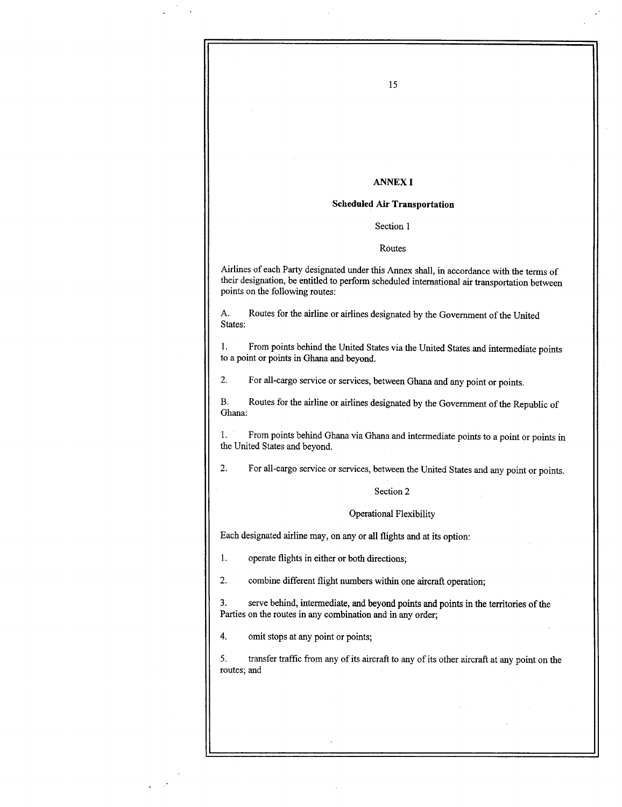# ANNEX I

#### Scheduled Air Transportation

### Section 1

### Routes

Airlines of each Party designated under this Annex shall, in accordance with the terms of their designation, be entitled to perform scheduled international air transportation between points on the following routes :

A. Routes for the airline or airlines designated by the Government of the United States:

1 . From points behind the United States via the United States and intermediate points to a point or points in Ghana and beyond.

2. For all-cargo service or services, between Ghana and any point or points .

B. Routes for the airline or airlines designated by the Government of the Republic of Ghana:

1 . From points behind Ghana via Ghana and intermediate points to a point or points in the United States and beyond.

**2.** For all-cargo service or services, between the United States and any point or points .

## Section 2

#### Operational Flexibility

Each designated airline may, on any or all flights and at its option:

1 . operate flights in either or both directions;

2. combine different flight numbers within one aircraft operation;

<sup>3</sup> . serve behind, intermediate, and beyond points and points in the territories of the Parties on the routes in any combination and in any order;

 $4.$ omit stops at any point or points;

5 . transfer traffic from any of its aircraft to any of its other aircraft at any point on the routes; and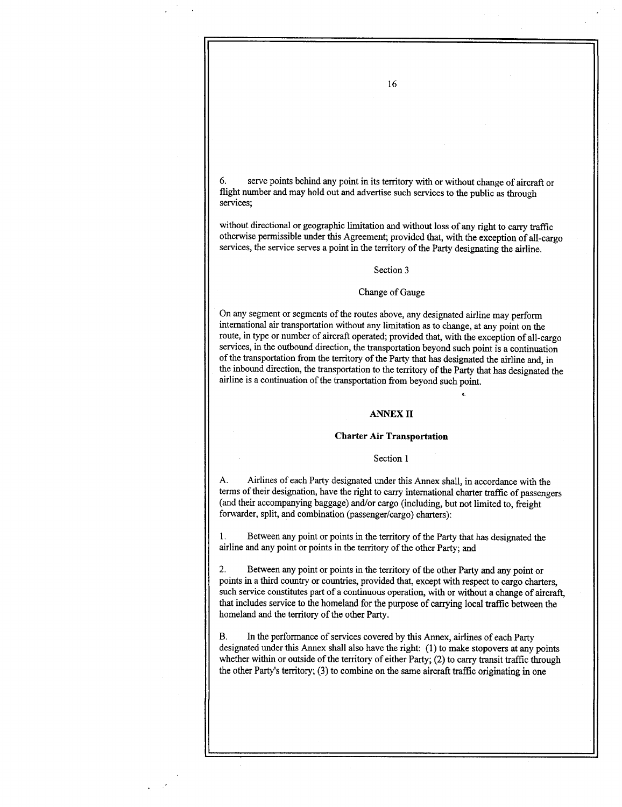6. serve points behind any point in its territory with or without change of aircraft or flight number and may hold out and advertise such services to the public as through services;

without directional or geographic limitation and without loss of any right to carry traffic otherwise permissible under this Agreement; provided that, with the exception of all-cargo services, the service serves a point in the territory of the Party designating the airline .

#### Section 3

# Change of Gauge

On any segment or segments of the routes above, any designated airline may perform international air transportation without any limitation as to change, at any point on the route, in type or number of aircraft operated; provided that, with the exception of all-cargo services, in the outbound direction, the transportation beyond such point is a continuation of the transportation from the territory of the Party that has designated the airline and, in the inbound direction, the transportation to the territory of the Party that has designated the airline is a continuation of the transportation from beyond such point.

### ANNEX II

#### Charter Air Transportation

Section 1

A. Airlines of each Party designated under this Annex shall, in accordance with the terms of their designation, have the right to carry international charter traffic of passengers (and their accompanying baggage) and/or cargo (including, but not limited to, freight forwarder, split, and combination (passenger/cargo) charters):

**1**. Between any point or points in the territory of the Party that has designated the airline and any point or points in the territory of the other Party; and

 $2.$ Between any point or points in the territory of the other Party and any point or points in a third country or countries, provided that, except with respect to cargo charters, such service constitutes part of a continuous operation, with or without a change of aircraft, that includes service to the homeland for the purpose of carrying local traffic between the homeland and the territory of the other Party.

B. In the performance of services covered by this Annex, airlines of each Party designated under this Annex shall also have the right: (1) to make stopovers at any points whether within or outside of the territory of either Party; (2) to carry transit traffic through the other Party's territory ; (3) to combine on the same aircraft traffic originating in one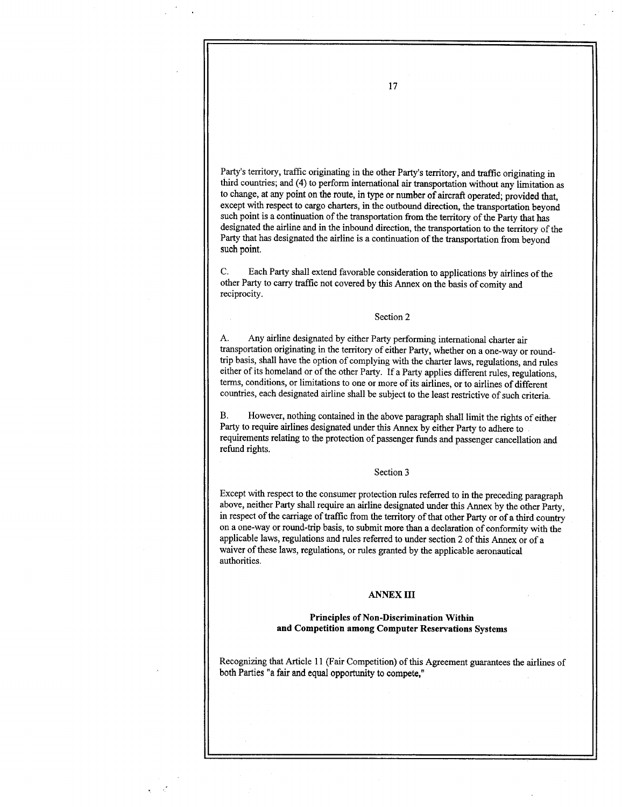Party's territory, traffic originating in the other Party's territory, and traffic originating in third countries; and (4) to perform international air transportation without any limitation as to change, at any point on the route, in type or number of aircraft operated; provided that, except with respect to cargo charters, in the outbound direction, the transportation beyond such point is a continuation of the transportation from the territory of the Party that has designated the airline and in the inbound direction, the transportation to the territory of the Party that has designated the airline is a continuation of the transportation from beyond such point.

C. Each Party shall extend favorable consideration to applications by airlines of the other Party to carry traffic not covered by this Annex on the basis of comity and reciprocity.

#### Section 2

A. Any airline designated by either Party performing international charter air transportation originating in the territory of either Party, whether on a one-way or roundtrip basis, shall have the option of complying with the charter laws, regulations, and rules either of its homeland or of the other Party . If a Party applies different rules, regulations, terms, conditions, or limitations to one or more of its airlines, or to airlines of different countries, each designated airline shall be subject to the least restrictive of such criteria .

B. However, nothing contained in the above paragraph shall limit the rights of either Party to require airlines designated under this Annex by either Party to adhere to requirements relating to the protection of passenger funds and passenger cancellation and refund rights.

# Section 3

Except with respect to the consumer protection rules referred to in the preceding paragraph above, neither Party shall require an airline designated under this Annex by the other Party, in respect of the carriage of traffic from the territory of that other Party or of a third country on a one-way or round-trip basis, to submit more than a declaration of conformity with the applicable laws, regulations and rules referred to under section 2 of this Annex or of a waiver of these laws, regulations, or rules granted by the applicable aeronautical authorities .

### ANNEX III

# Principles of Non-Discrimination Within and Competition among Computer Reservations Systems

Recognizing that Article 11 (Fair Competition) of this Agreement guarantees the airlines of both Parties "a fair and equal opportunity to compete,"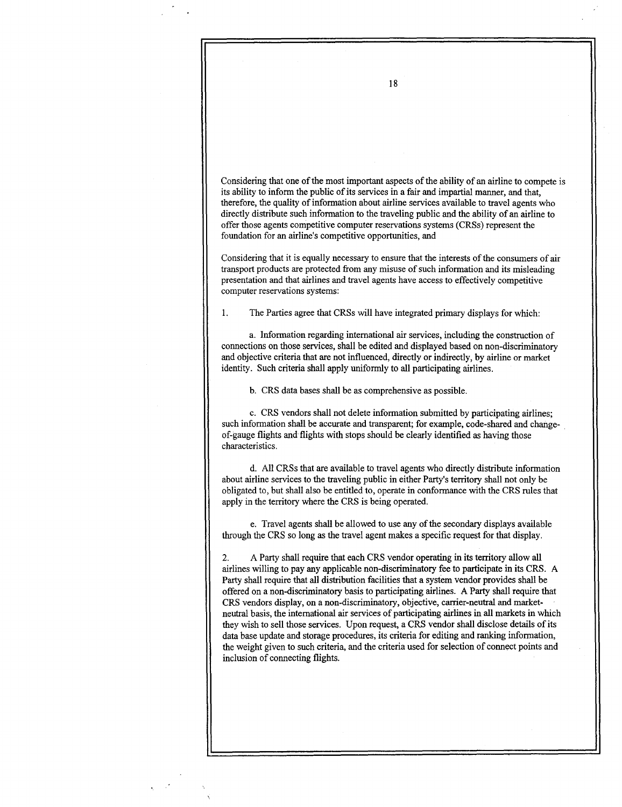Considering that one of the most important aspects of the ability of an airline to compete is its ability to inform the public of its services in a fair and impartial manner, and that, therefore, the quality of information about airline services available to travel agents who directly distribute such information to the traveling public and the ability of an airline to offer those agents competitive computer reservations systems (CRSs) represent the foundation for an airline's competitive opportunities, and

Considering that it is equally necessary to ensure that the interests of the consumers of air transport products are protected from any misuse of such information and its misleading presentation and that airlines and travel agents have access to effectively competitive computer reservations systems :

1 . The Parties agree that CRSs will have integrated primary displays for which :

a . Information regarding international air services, including the construction of connections on those services, shall be edited and displayed based on non-discriminatory and objective criteria that are not influenced, directly or indirectly, by airline or market identity. Such criteria shall apply uniformly to all participating airlines.

b. CRS data bases shall be as comprehensive as possible.

c. CRS vendors shall not delete information submitted by participating airlines; such information shall be accurate and transparent; for example, code-shared and changeof-gauge flights and flights with stops should be clearly identified as having those characteristics .

d . All CRSs that are available to travel agents who directly distribute information about airline services to the traveling public in either Party's territory shall not only be obligated to, but shall also be entitled to, operate in conformance with the CRS rules that apply in the territory where the CRS is being operated .

e. Travel agents shall be allowed to use any of the secondary displays available through the CRS so long as the travel agent makes a specific request for that display .

 $2.$ A Party shall require that each CRS vendor operating in its territory allow all airlines willing to pay any applicable non-discriminatory fee to participate in its CRS . A Party shall require that all distribution facilities that a system vendor provides shall be offered on a non-discriminatory basis to participating airlines . A Party shall require that CRS vendors display, on a non-discriminatory, objective, carrier-neutral and marketneutral basis, the international air services of participating airlines in all markets in which they wish to sell those services . Upon request, a CRS vendor shall disclose details of its data base update and storage procedures, its criteria for editing and ranking information, the weight given to such criteria, and the criteria used for selection of connect points and inclusion of connecting flights.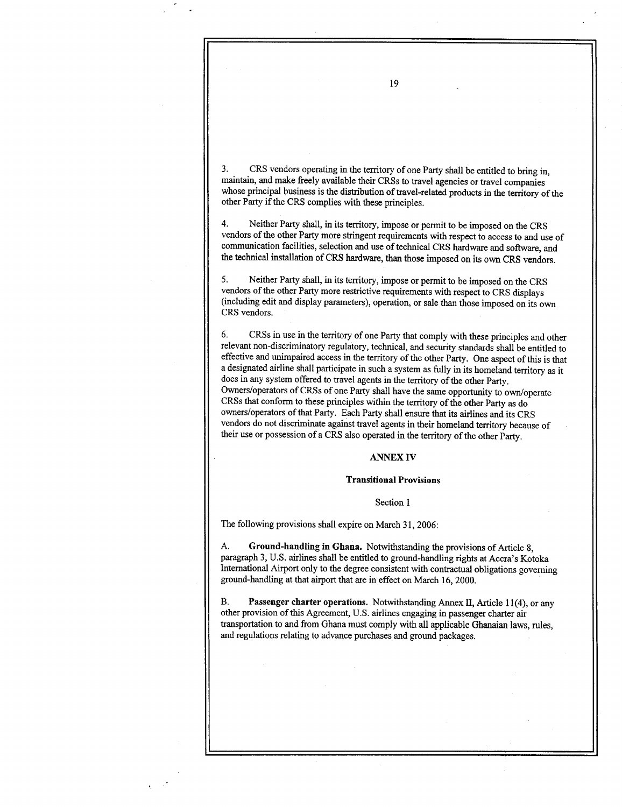3 . CRS vendors operating in the territory of one Party shall be entitled to bring in, maintain, and make freely available their CRSs to travel agencies or travel companies whose principal business is the distribution of travel-related products in the territory of the other Party if the CRS complies with these principles .

 $4.$ Neither Party shall, in its territory, impose or permit to be imposed on the CRS vendors of the other Party more stringent requirements with respect to access to and use of communication facilities, selection and use of technical CRS hardware and software, and the technical installation of CRS hardware, than those imposed on its own CRS vendors .

5 . Neither Party shall, in its territory, impose or permit to be imposed on the CRS vendors of the other Party more restrictive requirements with respect to CRS displays (including edit and display parameters), operation, or sale than those imposed on its own CRS vendors.

6. CRSs in use in the territory of one Party that comply with these principles and other relevant non-discriminatory regulatory, technical, and security standards shall be entitled to effective and unimpaired access in the territory of the other Party . One aspect of this is that a designated airline shall participate in such a system as fully in its homeland territory as it does in any system offered to travel agents in the territory of the other Party. Owners/operators of CRSs of one Party shall have the same opportunity to own/operate CRSs that conform to these principles within the territory of the other Party as do owners/operators of that Party . Each Party shall ensure that its airlines and its CRS vendors do not discriminate against travel agents in their homeland territory because of their use or possession of a CRS also operated in the territory of the other Party .

# ANNEX IV

### Transitional Provisions

### Section I

The following provisions shall expire on March 31, 2006:

A. Ground-handling in Ghana. Notwithstanding the provisions of Article 8. paragraph 3, U .S . airlines shall be entitled to ground-handling rights at Accra's Kotoka International Airport only to the degree consistent with contractual obligations governing ground-handling at that airport that are in effect on March 16, 2000.

B. Passenger charter operations. Notwithstanding Annex II, Article 11(4), or any other provision of this Agreement, U .S . airlines engaging in passenger charter air transportation to and from Ghana must comply with all applicable Ghanaian laws, rules, and regulations relating to advance purchases and ground packages.